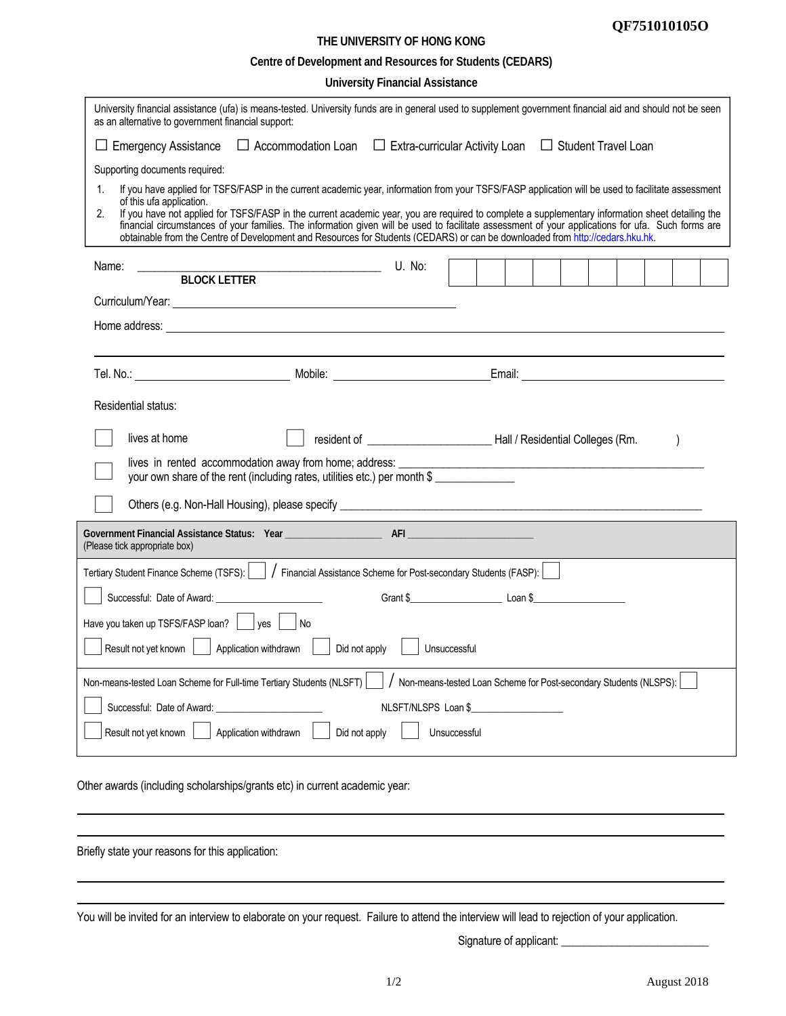## **QF751010105O**

## **THE UNIVERSITY OF HONG KONG Centre of Development and Resources for Students (CEDARS)**

**University Financial Assistance** 

| University financial assistance (ufa) is means-tested. University funds are in general used to supplement government financial aid and should not be seen                                                                                                                                                                                                                                                                                                                                                                                                                                                                            |                                                                                                                       |              |  |  |  |                                                                                                                                                                                                                                      |  |
|--------------------------------------------------------------------------------------------------------------------------------------------------------------------------------------------------------------------------------------------------------------------------------------------------------------------------------------------------------------------------------------------------------------------------------------------------------------------------------------------------------------------------------------------------------------------------------------------------------------------------------------|-----------------------------------------------------------------------------------------------------------------------|--------------|--|--|--|--------------------------------------------------------------------------------------------------------------------------------------------------------------------------------------------------------------------------------------|--|
| as an alternative to government financial support:                                                                                                                                                                                                                                                                                                                                                                                                                                                                                                                                                                                   |                                                                                                                       |              |  |  |  |                                                                                                                                                                                                                                      |  |
| $\Box$ Emergency Assistance $\Box$ Accommodation Loan $\Box$ Extra-curricular Activity Loan $\Box$ Student Travel Loan                                                                                                                                                                                                                                                                                                                                                                                                                                                                                                               |                                                                                                                       |              |  |  |  |                                                                                                                                                                                                                                      |  |
| Supporting documents required:                                                                                                                                                                                                                                                                                                                                                                                                                                                                                                                                                                                                       |                                                                                                                       |              |  |  |  |                                                                                                                                                                                                                                      |  |
| If you have applied for TSFS/FASP in the current academic year, information from your TSFS/FASP application will be used to facilitate assessment<br>1.<br>of this ufa application.<br>2.<br>If you have not applied for TSFS/FASP in the current academic year, you are required to complete a supplementary information sheet detailing the<br>financial circumstances of your families. The information given will be used to facilitate assessment of your applications for ufa. Such forms are<br>obtainable from the Centre of Development and Resources for Students (CEDARS) or can be downloaded from http://cedars.hku.hk. |                                                                                                                       |              |  |  |  |                                                                                                                                                                                                                                      |  |
| Name:<br><u> 1989 - Johann Stoff, deutscher Stoffen und der Stoffen und der Stoffen und der Stoffen und der Stoffen und der</u>                                                                                                                                                                                                                                                                                                                                                                                                                                                                                                      | U. No:                                                                                                                |              |  |  |  |                                                                                                                                                                                                                                      |  |
| <b>BLOCK LETTER</b>                                                                                                                                                                                                                                                                                                                                                                                                                                                                                                                                                                                                                  |                                                                                                                       |              |  |  |  |                                                                                                                                                                                                                                      |  |
|                                                                                                                                                                                                                                                                                                                                                                                                                                                                                                                                                                                                                                      |                                                                                                                       |              |  |  |  |                                                                                                                                                                                                                                      |  |
|                                                                                                                                                                                                                                                                                                                                                                                                                                                                                                                                                                                                                                      |                                                                                                                       |              |  |  |  |                                                                                                                                                                                                                                      |  |
|                                                                                                                                                                                                                                                                                                                                                                                                                                                                                                                                                                                                                                      |                                                                                                                       |              |  |  |  |                                                                                                                                                                                                                                      |  |
|                                                                                                                                                                                                                                                                                                                                                                                                                                                                                                                                                                                                                                      |                                                                                                                       |              |  |  |  | Email: <u>Email: Email: Email: Email: Email: Email: Email: Email: Email: Email: Email: Email: Email: Email: Email: Email: Email: Email: Email: Email: Email: Email: Email: Email: Email: Email: Email: Email: Email: Email: Emai</u> |  |
| Residential status:                                                                                                                                                                                                                                                                                                                                                                                                                                                                                                                                                                                                                  |                                                                                                                       |              |  |  |  |                                                                                                                                                                                                                                      |  |
| lives at home                                                                                                                                                                                                                                                                                                                                                                                                                                                                                                                                                                                                                        |                                                                                                                       |              |  |  |  |                                                                                                                                                                                                                                      |  |
| lives in rented accommodation away from home; address:<br>your own share of the rent (including rates, utilities etc.) per month \$                                                                                                                                                                                                                                                                                                                                                                                                                                                                                                  | <u> 1989 - Johann Barn, mars ann an t-Amhain Aonaich an t-Aonaich an t-Aonaich an t-Aonaich an t-Aonaich an t-Aon</u> |              |  |  |  |                                                                                                                                                                                                                                      |  |
|                                                                                                                                                                                                                                                                                                                                                                                                                                                                                                                                                                                                                                      |                                                                                                                       |              |  |  |  |                                                                                                                                                                                                                                      |  |
| (Please tick appropriate box)                                                                                                                                                                                                                                                                                                                                                                                                                                                                                                                                                                                                        |                                                                                                                       |              |  |  |  |                                                                                                                                                                                                                                      |  |
| Tertiary Student Finance Scheme (TSFS):       Financial Assistance Scheme for Post-secondary Students (FASP):                                                                                                                                                                                                                                                                                                                                                                                                                                                                                                                        |                                                                                                                       |              |  |  |  |                                                                                                                                                                                                                                      |  |
| Successful: Date of Award:                                                                                                                                                                                                                                                                                                                                                                                                                                                                                                                                                                                                           |                                                                                                                       |              |  |  |  |                                                                                                                                                                                                                                      |  |
| Have you taken up TSFS/FASP loan? $\vert \cdot \vert$ yes $\vert$<br>l No                                                                                                                                                                                                                                                                                                                                                                                                                                                                                                                                                            |                                                                                                                       |              |  |  |  |                                                                                                                                                                                                                                      |  |
| Result not yet known<br>Application withdrawn<br>Did not apply                                                                                                                                                                                                                                                                                                                                                                                                                                                                                                                                                                       |                                                                                                                       | Unsuccessful |  |  |  |                                                                                                                                                                                                                                      |  |
|                                                                                                                                                                                                                                                                                                                                                                                                                                                                                                                                                                                                                                      |                                                                                                                       |              |  |  |  |                                                                                                                                                                                                                                      |  |
| Non-means-tested Loan Scheme for Full-time Tertiary Students (NLSFT)                                                                                                                                                                                                                                                                                                                                                                                                                                                                                                                                                                 | Non-means-tested Loan Scheme for Post-secondary Students (NLSPS):                                                     |              |  |  |  |                                                                                                                                                                                                                                      |  |
| Successful: Date of Award:                                                                                                                                                                                                                                                                                                                                                                                                                                                                                                                                                                                                           | NLSFT/NLSPS Loan \$                                                                                                   |              |  |  |  |                                                                                                                                                                                                                                      |  |
| Result not yet known<br>Application withdrawn<br>Did not apply                                                                                                                                                                                                                                                                                                                                                                                                                                                                                                                                                                       |                                                                                                                       | Unsuccessful |  |  |  |                                                                                                                                                                                                                                      |  |
| Other awards (including scholarships/grants etc) in current academic year:                                                                                                                                                                                                                                                                                                                                                                                                                                                                                                                                                           |                                                                                                                       |              |  |  |  |                                                                                                                                                                                                                                      |  |

Briefly state your reasons for this application:

You will be invited for an interview to elaborate on your request. Failure to attend the interview will lead to rejection of your application.

Signature of applicant: